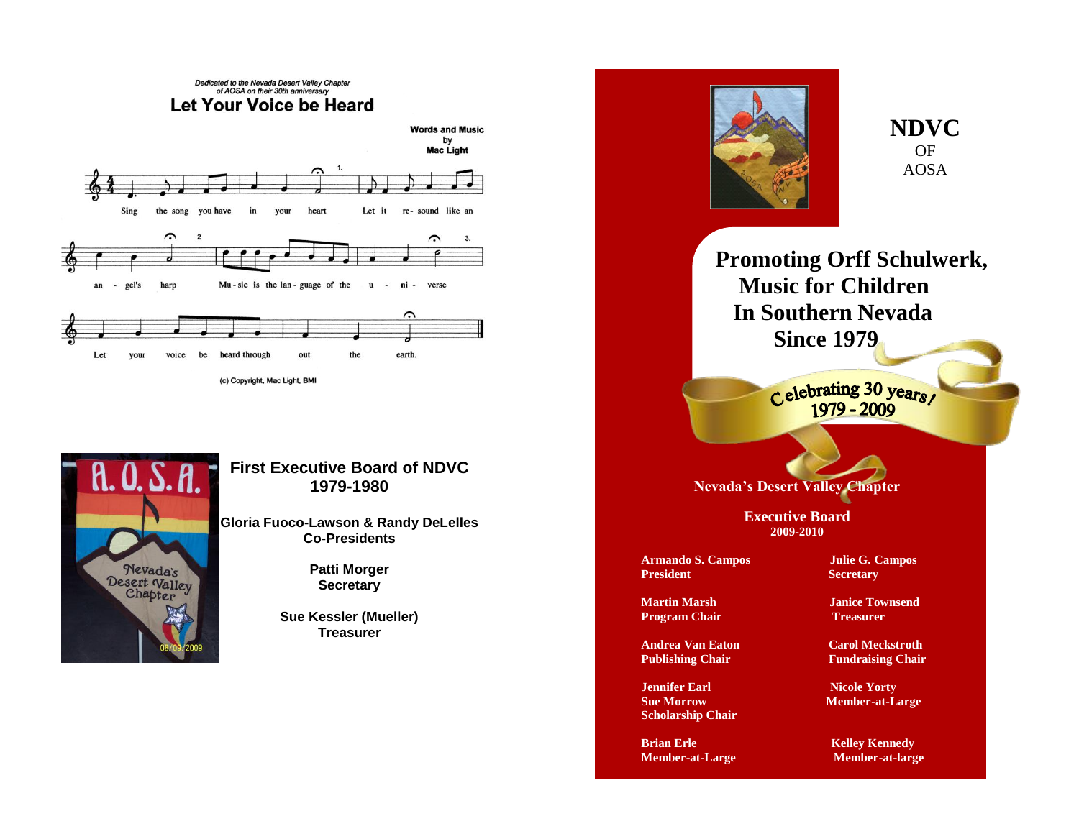



## **First Executive Board of NDVC 1979-1980**

**Gloria Fuoco-Lawson & Randy DeLelles Co-Presidents**

> **Patti Morger Secretary**

**Sue Kessler (Mueller) Treasurer**



**NDVC** OF AOSA

**Promoting Orff Schulwerk, Music for Children In Southern Nevada Since 1979**

Celebrating 30 years!

**Nevada's Desert Valley Chapter**

**Executive Board 2009-2010**

**Armando S. Campos Julie G. Campos President Secretary** 

**Program Chair Treasurer** 

**Jennifer Earl Nicole Yorty Scholarship Chair**

**Brian Erle** Kelley Kennedy **Member-at-Large Member-at-large** 

**Martin Marsh Janice Townsend** 

**Andrea Van Eaton Carol Meckstroth Publishing Chair Fundraising Chair** 

**Sue Morrow Member-at-Large**